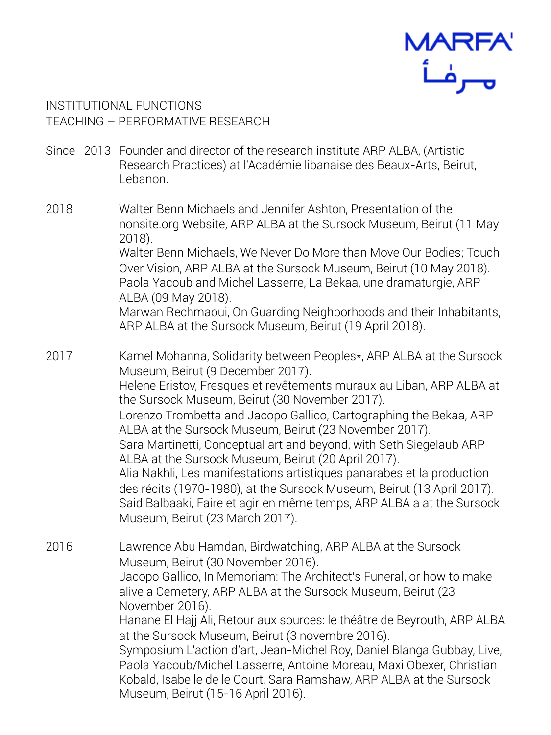

INSTITUTIONAL FUNCTIONS TEACHING – PERFORMATIVE RESEARCH

- Since 2013 Founder and director of the research institute ARP ALBA, (Artistic Research Practices) at l'Académie libanaise des Beaux-Arts, Beirut, Lebanon.
- 2018 Walter Benn Michaels and Jennifer Ashton, Presentation of the nonsite.org Website, ARP ALBA at the Sursock Museum, Beirut (11 May 2018). Walter Benn Michaels, We Never Do More than Move Our Bodies; Touch Over Vision, ARP ALBA at the Sursock Museum, Beirut (10 May 2018). Paola Yacoub and Michel Lasserre, La Bekaa, une dramaturgie, ARP ALBA (09 May 2018). Marwan Rechmaoui, On Guarding Neighborhoods and their Inhabitants, ARP ALBA at the Sursock Museum, Beirut (19 April 2018).

2017 Kamel Mohanna, Solidarity between Peoples\*, ARP ALBA at the Sursock Museum, Beirut (9 December 2017). Helene Eristov, Fresques et revêtements muraux au Liban, ARP ALBA at the Sursock Museum, Beirut (30 November 2017). Lorenzo Trombetta and Jacopo Gallico, Cartographing the Bekaa, ARP ALBA at the Sursock Museum, Beirut (23 November 2017). Sara Martinetti, Conceptual art and beyond, with Seth Siegelaub ARP ALBA at the Sursock Museum, Beirut (20 April 2017). Alia Nakhli, Les manifestations artistiques panarabes et la production des récits (1970-1980), at the Sursock Museum, Beirut (13 April 2017). Said Balbaaki, Faire et agir en même temps, ARP ALBA a at the Sursock Museum, Beirut (23 March 2017).

2016 Lawrence Abu Hamdan, Birdwatching, ARP ALBA at the Sursock Museum, Beirut (30 November 2016). Jacopo Gallico, In Memoriam: The Architect's Funeral, or how to make alive a Cemetery, ARP ALBA at the Sursock Museum, Beirut (23 November 2016). Hanane El Hajj Ali, Retour aux sources: le théâtre de Beyrouth, ARP ALBA at the Sursock Museum, Beirut (3 novembre 2016). Symposium L'action d'art, Jean-Michel Roy, Daniel Blanga Gubbay, Live, Paola Yacoub/Michel Lasserre, Antoine Moreau, Maxi Obexer, Christian Kobald, Isabelle de le Court, Sara Ramshaw, ARP ALBA at the Sursock Museum, Beirut (15-16 April 2016).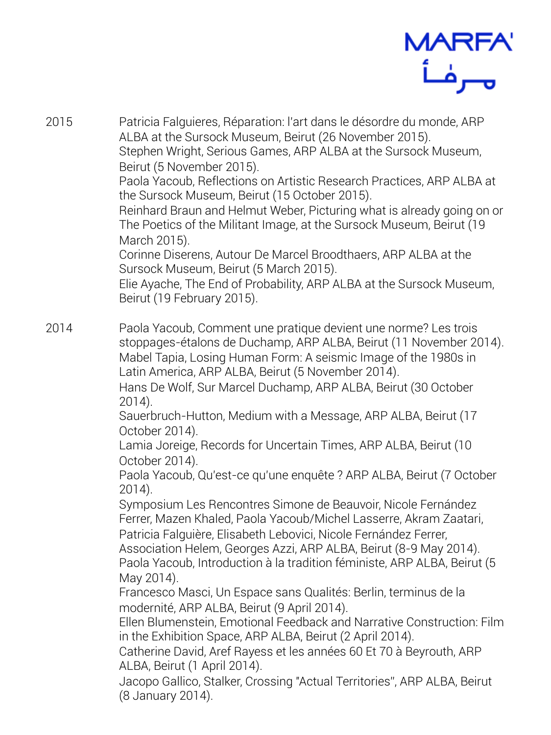

2015 Patricia Falguieres, Réparation: l'art dans le désordre du monde, ARP ALBA at the Sursock Museum, Beirut (26 November 2015). Stephen Wright, Serious Games, ARP ALBA at the Sursock Museum, Beirut (5 November 2015). Paola Yacoub, Reflections on Artistic Research Practices, ARP ALBA at the Sursock Museum, Beirut (15 October 2015). Reinhard Braun and Helmut Weber, Picturing what is already going on or The Poetics of the Militant Image, at the Sursock Museum, Beirut (19 March 2015). Corinne Diserens, Autour De Marcel Broodthaers, ARP ALBA at the Sursock Museum, Beirut (5 March 2015). Elie Ayache, The End of Probability, ARP ALBA at the Sursock Museum, Beirut (19 February 2015). 2014 Paola Yacoub, Comment une pratique devient une norme? Les trois stoppages-étalons de Duchamp, ARP ALBA, Beirut (11 November 2014). Mabel Tapia, Losing Human Form: A seismic Image of the 1980s in Latin America, ARP ALBA, Beirut (5 November 2014). Hans De Wolf, Sur Marcel Duchamp, ARP ALBA, Beirut (30 October 2014). Sauerbruch-Hutton, Medium with a Message, ARP ALBA, Beirut (17 October 2014). Lamia Joreige, Records for Uncertain Times, ARP ALBA, Beirut (10 October 2014). Paola Yacoub, Qu'est-ce qu'une enquête ? ARP ALBA, Beirut (7 October 2014).

> Symposium Les Rencontres Simone de Beauvoir, Nicole Fernández Ferrer, Mazen Khaled, Paola Yacoub/Michel Lasserre, Akram Zaatari, Patricia Falguière, Elisabeth Lebovici, Nicole Fernández Ferrer,

Association Helem, Georges Azzi, ARP ALBA, Beirut (8-9 May 2014). Paola Yacoub, Introduction à la tradition féministe, ARP ALBA, Beirut (5 May 2014).

Francesco Masci, Un Espace sans Qualités: Berlin, terminus de la modernité, ARP ALBA, Beirut (9 April 2014).

Ellen Blumenstein, Emotional Feedback and Narrative Construction: Film in the Exhibition Space, ARP ALBA, Beirut (2 April 2014).

Catherine David, Aref Rayess et les années 60 Et 70 à Beyrouth, ARP ALBA, Beirut (1 April 2014).

Jacopo Gallico, Stalker, Crossing "Actual Territories", ARP ALBA, Beirut (8 January 2014).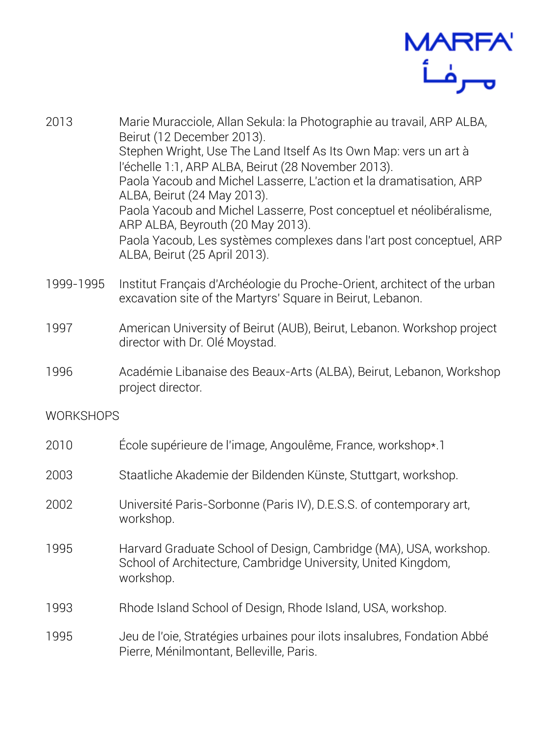

- 2013 Marie Muracciole, Allan Sekula: la Photographie au travail, ARP ALBA, Beirut (12 December 2013). Stephen Wright, Use The Land Itself As Its Own Map: vers un art à l'échelle 1:1, ARP ALBA, Beirut (28 November 2013). Paola Yacoub and Michel Lasserre, L'action et la dramatisation, ARP ALBA, Beirut (24 May 2013). Paola Yacoub and Michel Lasserre, Post conceptuel et néolibéralisme, ARP ALBA, Beyrouth (20 May 2013). Paola Yacoub, Les systèmes complexes dans l'art post conceptuel, ARP ALBA, Beirut (25 April 2013). 1999-1995 Institut Français d'Archéologie du Proche-Orient, architect of the urban excavation site of the Martyrs' Square in Beirut, Lebanon. 1997 American University of Beirut (AUB), Beirut, Lebanon. Workshop project director with Dr. Olé Moystad. 1996 Académie Libanaise des Beaux-Arts (ALBA), Beirut, Lebanon, Workshop project director. **WORKSHOPS** 2010 École supérieure de l'image, Angoulême, France, workshop\*.1 2003 Staatliche Akademie der Bildenden Künste, Stuttgart, workshop.
- 2002 Université Paris-Sorbonne (Paris IV), D.E.S.S. of contemporary art, workshop.
- 1995 Harvard Graduate School of Design, Cambridge (MA), USA, workshop. School of Architecture, Cambridge University, United Kingdom, workshop.
- 1993 Rhode Island School of Design, Rhode Island, USA, workshop.
- 1995 Jeu de l'oie, Stratégies urbaines pour ilots insalubres, Fondation Abbé Pierre, Ménilmontant, Belleville, Paris.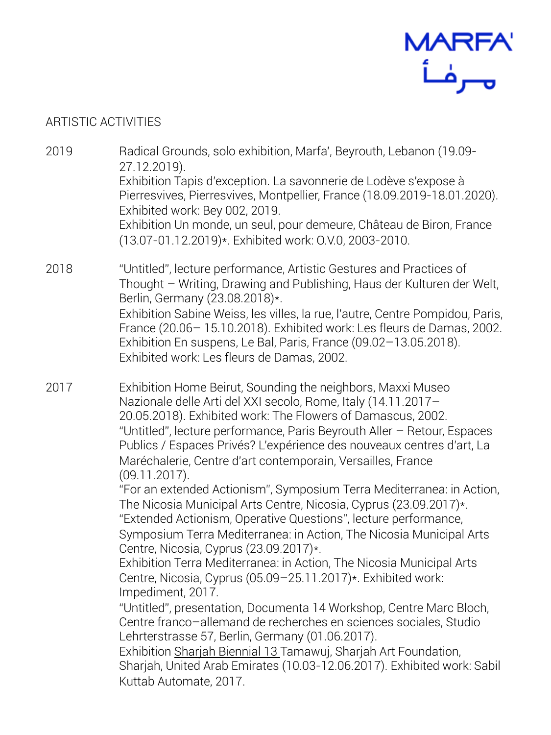

## ARTISTIC ACTIVITIES

- 2019 Radical Grounds, solo exhibition, Marfa', Beyrouth, Lebanon (19.09- 27.12.2019). Exhibition Tapis d'exception. La savonnerie de Lodève s'expose à Pierresvives, Pierresvives, Montpellier, France (18.09.2019-18.01.2020). Exhibited work: Bey 002, 2019. Exhibition Un monde, un seul, pour demeure, Château de Biron, France (13.07-01.12.2019)\*. Exhibited work: O.V.0, 2003-2010.
- 2018 "Untitled", lecture performance, Artistic Gestures and Practices of Thought – Writing, Drawing and Publishing, Haus der Kulturen der Welt, Berlin, Germany (23.08.2018)\*. Exhibition Sabine Weiss, les villes, la rue, l'autre, Centre Pompidou, Paris, France (20.06– 15.10.2018). Exhibited work: Les fleurs de Damas, 2002. Exhibition En suspens, Le Bal, Paris, France (09.02–13.05.2018). Exhibited work: Les fleurs de Damas, 2002.
- 2017 Exhibition Home Beirut, Sounding the neighbors, Maxxi Museo Nazionale delle Arti del XXI secolo, Rome, Italy (14.11.2017– 20.05.2018). Exhibited work: The Flowers of Damascus, 2002. "Untitled", lecture performance, Paris Beyrouth Aller – Retour, Espaces Publics / Espaces Privés? L'expérience des nouveaux centres d'art, La Maréchalerie, Centre d'art contemporain, Versailles, France (09.11.2017). "For an extended Actionism", Symposium Terra Mediterranea: in Action,

The Nicosia Municipal Arts Centre, Nicosia, Cyprus (23.09.2017)\*. "Extended Actionism, Operative Questions", lecture performance, Symposium Terra Mediterranea: in Action, The Nicosia Municipal Arts Centre, Nicosia, Cyprus (23.09.2017)\*.

Exhibition Terra Mediterranea: in Action, The Nicosia Municipal Arts Centre, Nicosia, Cyprus (05.09–25.11.2017)\*. Exhibited work: Impediment, 2017.

"Untitled", presentation, Documenta 14 Workshop, Centre Marc Bloch, Centre franco–allemand de recherches en sciences sociales, Studio Lehrterstrasse 57, Berlin, Germany (01.06.2017).

Exhibition [Sharjah Biennial 13 T](https://universes.art/de/sharjah-biennale/2017/)amawuj, Sharjah Art Foundation, Sharjah, United Arab Emirates (10.03-12.06.2017). Exhibited work: Sabil Kuttab Automate, 2017.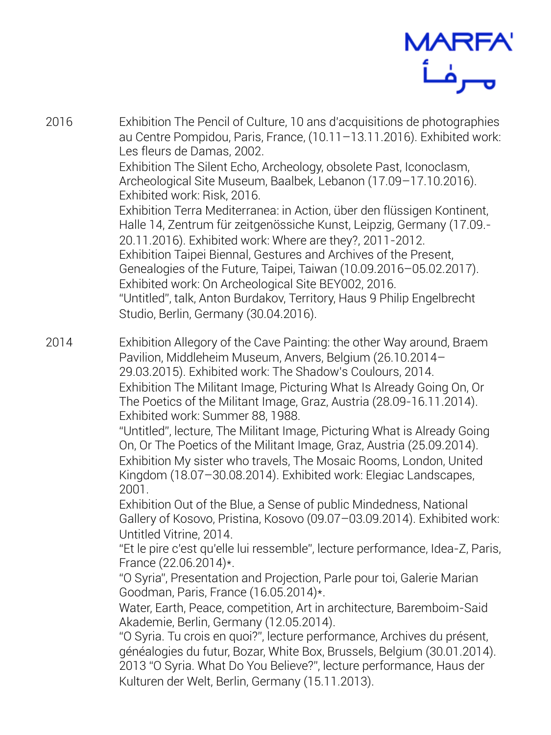

- 2016 Exhibition The Pencil of Culture, 10 ans d'acquisitions de photographies au Centre Pompidou, Paris, France, (10.11–13.11.2016). Exhibited work: Les fleurs de Damas, 2002. Exhibition The Silent Echo, Archeology, obsolete Past, Iconoclasm, Archeological Site Museum, Baalbek, Lebanon (17.09–17.10.2016). Exhibited work: Risk, 2016. Exhibition Terra Mediterranea: in Action, über den flüssigen Kontinent, Halle 14, Zentrum für zeitgenössiche Kunst, Leipzig, Germany (17.09.- 20.11.2016). Exhibited work: Where are they?, 2011-2012. Exhibition Taipei Biennal, Gestures and Archives of the Present, Genealogies of the Future, Taipei, Taiwan (10.09.2016–05.02.2017). Exhibited work: On Archeological Site BEY002, 2016. "Untitled", talk, Anton Burdakov, Territory, Haus 9 Philip Engelbrecht Studio, Berlin, Germany (30.04.2016).
- 2014 Exhibition Allegory of the Cave Painting: the other Way around, Braem Pavilion, Middleheim Museum, Anvers, Belgium (26.10.2014– 29.03.2015). Exhibited work: The Shadow's Coulours, 2014. Exhibition The Militant Image, Picturing What Is Already Going On, Or The Poetics of the Militant Image, Graz, Austria (28.09-16.11.2014). Exhibited work: Summer 88, 1988.

"Untitled", lecture, The Militant Image, Picturing What is Already Going On, Or The Poetics of the Militant Image, Graz, Austria (25.09.2014). Exhibition My sister who travels, The Mosaic Rooms, London, United Kingdom (18.07–30.08.2014). Exhibited work: Elegiac Landscapes, 2001.

Exhibition Out of the Blue, a Sense of public Mindedness, National Gallery of Kosovo, Pristina, Kosovo (09.07–03.09.2014). Exhibited work: Untitled Vitrine, 2014.

"Et le pire c'est qu'elle lui ressemble", lecture performance, Idea-Z, Paris, France (22.06.2014)\*.

"O Syria", Presentation and Projection, Parle pour toi, Galerie Marian Goodman, Paris, France (16.05.2014)\*.

Water, Earth, Peace, competition, Art in architecture, Baremboim-Said Akademie, Berlin, Germany (12.05.2014).

"O Syria. Tu crois en quoi?", lecture performance, Archives du présent, généalogies du futur, Bozar, White Box, Brussels, Belgium (30.01.2014). 2013 "O Syria. What Do You Believe?", lecture performance, Haus der Kulturen der Welt, Berlin, Germany (15.11.2013).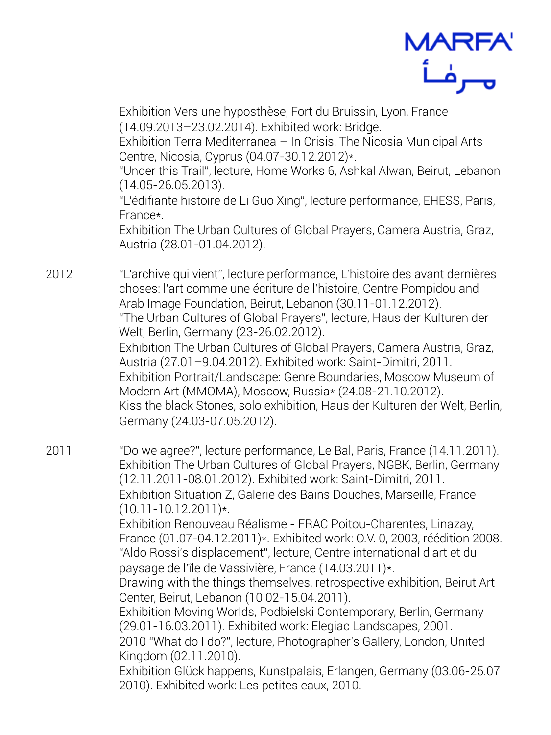

Exhibition Vers une hyposthèse, Fort du Bruissin, Lyon, France (14.09.2013–23.02.2014). Exhibited work: Bridge.

Exhibition Terra Mediterranea – In Crisis, The Nicosia Municipal Arts Centre, Nicosia, Cyprus (04.07-30.12.2012)\*.

"Under this Trail", lecture, Home Works 6, Ashkal Alwan, Beirut, Lebanon (14.05-26.05.2013).

"L'édifiante histoire de Li Guo Xing", lecture performance, EHESS, Paris, France\*.

Exhibition The Urban Cultures of Global Prayers, Camera Austria, Graz, Austria (28.01-01.04.2012).

2012 "L'archive qui vient", lecture performance, L'histoire des avant dernières choses: l'art comme une écriture de l'histoire, Centre Pompidou and Arab Image Foundation, Beirut, Lebanon (30.11-01.12.2012). "The Urban Cultures of Global Prayers", lecture, Haus der Kulturen der Welt, Berlin, Germany (23-26.02.2012). Exhibition The Urban Cultures of Global Prayers, Camera Austria, Graz, Austria (27.01–9.04.2012). Exhibited work: Saint-Dimitri, 2011. Exhibition Portrait/Landscape: Genre Boundaries, Moscow Museum of Modern Art (MMOMA), Moscow, Russia\* (24.08-21.10.2012). Kiss the black Stones, solo exhibition, Haus der Kulturen der Welt, Berlin, Germany (24.03-07.05.2012).

2011 "Do we agree?", lecture performance, Le Bal, Paris, France (14.11.2011). Exhibition The Urban Cultures of Global Prayers, NGBK, Berlin, Germany (12.11.2011-08.01.2012). Exhibited work: Saint-Dimitri, 2011. Exhibition Situation Z, Galerie des Bains Douches, Marseille, France  $(10.11 - 10.12.2011)*$ .

Exhibition Renouveau Réalisme - FRAC Poitou-Charentes, Linazay, France (01.07-04.12.2011)\*. Exhibited work: O.V. 0, 2003, réédition 2008. "Aldo Rossi's displacement", lecture, Centre international d'art et du paysage de l'île de Vassivière, France (14.03.2011)\*.

Drawing with the things themselves, retrospective exhibition, Beirut Art Center, Beirut, Lebanon (10.02-15.04.2011).

Exhibition Moving Worlds, Podbielski Contemporary, Berlin, Germany (29.01-16.03.2011). Exhibited work: Elegiac Landscapes, 2001. 2010 "What do I do?", lecture, Photographer's Gallery, London, United Kingdom (02.11.2010).

Exhibition Glück happens, Kunstpalais, Erlangen, Germany (03.06-25.07 2010). Exhibited work: Les petites eaux, 2010.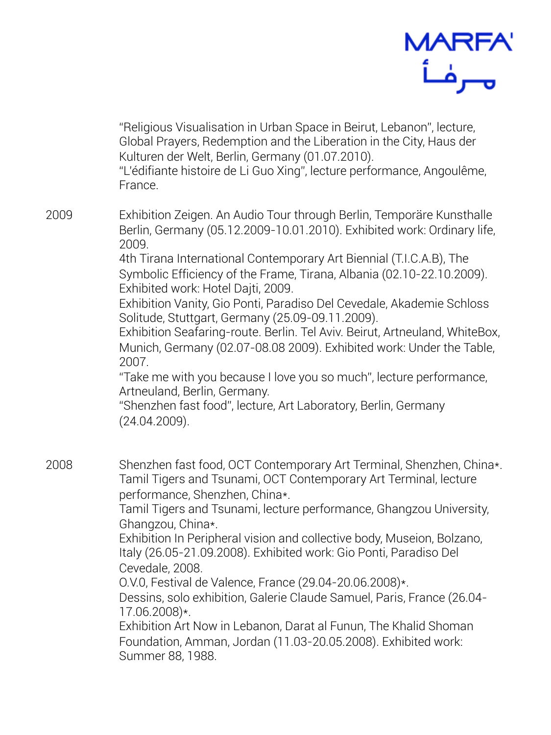

"Religious Visualisation in Urban Space in Beirut, Lebanon", lecture, Global Prayers, Redemption and the Liberation in the City, Haus der Kulturen der Welt, Berlin, Germany (01.07.2010).

"L'édifiante histoire de Li Guo Xing", lecture performance, Angoulême, France.

2009 Exhibition Zeigen. An Audio Tour through Berlin, Temporäre Kunsthalle Berlin, Germany (05.12.2009-10.01.2010). Exhibited work: Ordinary life, 2009.

4th Tirana International Contemporary Art Biennial (T.I.C.A.B), The Symbolic Efficiency of the Frame, Tirana, Albania (02.10-22.10.2009). Exhibited work: Hotel Dajti, 2009.

Exhibition Vanity, Gio Ponti, Paradiso Del Cevedale, Akademie Schloss Solitude, Stuttgart, Germany (25.09-09.11.2009).

Exhibition Seafaring-route. Berlin. Tel Aviv. Beirut, Artneuland, WhiteBox, Munich, Germany (02.07-08.08 2009). Exhibited work: Under the Table, 2007.

"Take me with you because I love you so much", lecture performance, Artneuland, Berlin, Germany.

"Shenzhen fast food", lecture, Art Laboratory, Berlin, Germany (24.04.2009).

2008 Shenzhen fast food, OCT Contemporary Art Terminal, Shenzhen, China\*. Tamil Tigers and Tsunami, OCT Contemporary Art Terminal, lecture performance, Shenzhen, China\*.

Tamil Tigers and Tsunami, lecture performance, Ghangzou University, Ghangzou, China\*.

Exhibition In Peripheral vision and collective body, Museion, Bolzano, Italy (26.05-21.09.2008). Exhibited work: Gio Ponti, Paradiso Del Cevedale, 2008.

O.V.0, Festival de Valence, France (29.04-20.06.2008)\*.

Dessins, solo exhibition, Galerie Claude Samuel, Paris, France (26.04- 17.06.2008)\*.

Exhibition Art Now in Lebanon, Darat al Funun, The Khalid Shoman Foundation, Amman, Jordan (11.03-20.05.2008). Exhibited work: Summer 88, 1988.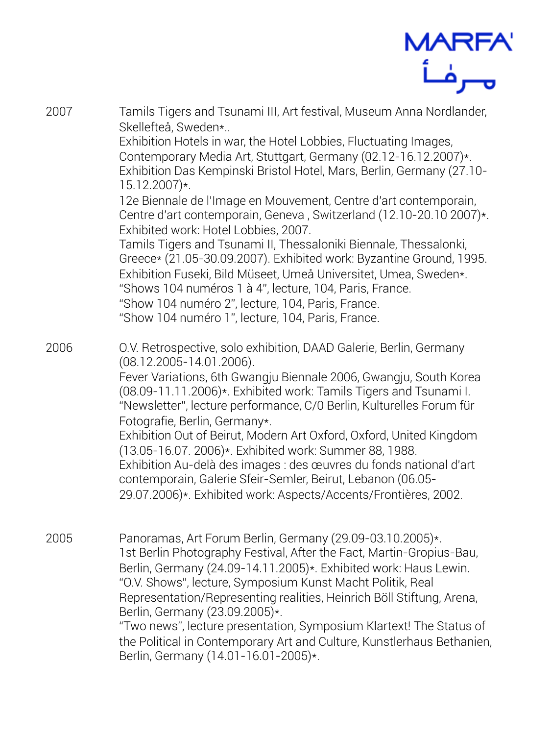

2007 Tamils Tigers and Tsunami III, Art festival, Museum Anna Nordlander, Skellefteå, Sweden\*.. Exhibition Hotels in war, the Hotel Lobbies, Fluctuating Images, Contemporary Media Art, Stuttgart, Germany (02.12-16.12.2007)\*. Exhibition Das Kempinski Bristol Hotel, Mars, Berlin, Germany (27.10- 15.12.2007)\*. 12e Biennale de l'Image en Mouvement, Centre d'art contemporain, Centre d'art contemporain, Geneva , Switzerland (12.10-20.10 2007)\*. Exhibited work: Hotel Lobbies, 2007. Tamils Tigers and Tsunami II, Thessaloniki Biennale, Thessalonki, Greece\* (21.05-30.09.2007). Exhibited work: Byzantine Ground, 1995. Exhibition Fuseki, Bild Müseet, Umeå Universitet, Umea, Sweden\*. "Shows 104 numéros 1 à 4", lecture, 104, Paris, France. "Show 104 numéro 2", lecture, 104, Paris, France. "Show 104 numéro 1", lecture, 104, Paris, France. 2006 O.V. Retrospective, solo exhibition, DAAD Galerie, Berlin, Germany (08.12.2005-14.01.2006). Fever Variations, 6th Gwangju Biennale 2006, Gwangju, South Korea (08.09-11.11.2006)\*. Exhibited work: Tamils Tigers and Tsunami I. "Newsletter", lecture performance, C/0 Berlin, Kulturelles Forum für Fotografie, Berlin, Germany\*. Exhibition Out of Beirut, Modern Art Oxford, Oxford, United Kingdom (13.05-16.07. 2006)\*. Exhibited work: Summer 88, 1988. Exhibition Au-delà des images : des œuvres du fonds national d'art contemporain, Galerie Sfeir-Semler, Beirut, Lebanon (06.05- 29.07.2006)\*. Exhibited work: Aspects/Accents/Frontières, 2002. 2005 Panoramas, Art Forum Berlin, Germany (29.09-03.10.2005)\*. 1st Berlin Photography Festival, After the Fact, Martin-Gropius-Bau, Berlin, Germany (24.09-14.11.2005)\*. Exhibited work: Haus Lewin. "O.V. Shows", lecture, Symposium Kunst Macht Politik, Real Representation/Representing realities, Heinrich Böll Stiftung, Arena, Berlin, Germany (23.09.2005)\*. "Two news", lecture presentation, Symposium Klartext! The Status of the Political in Contemporary Art and Culture, Kunstlerhaus Bethanien, Berlin, Germany (14.01-16.01-2005)\*.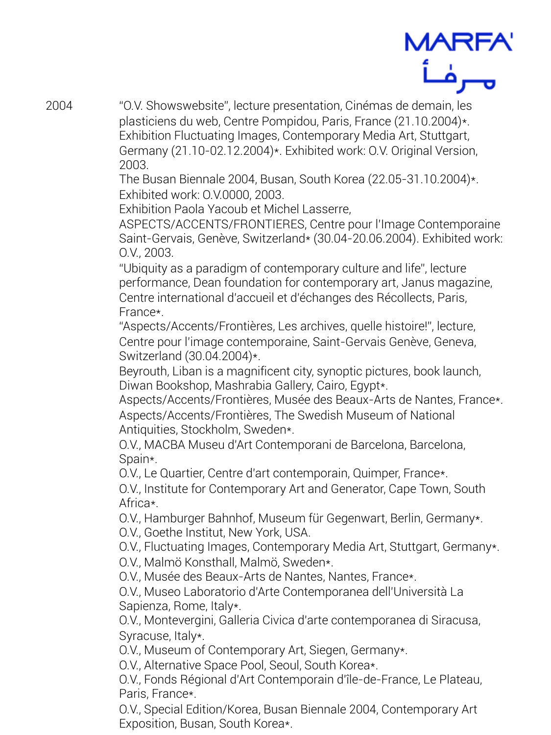

2004 "O.V. Showswebsite", lecture presentation, Cinémas de demain, les plasticiens du web, Centre Pompidou, Paris, France (21.10.2004)\*. Exhibition Fluctuating Images, Contemporary Media Art, Stuttgart, Germany (21.10-02.12.2004)\*. Exhibited work: O.V. Original Version, 2003.

The Busan Biennale 2004, Busan, South Korea (22.05-31.10.2004)\*. Exhibited work: O.V.0000, 2003.

Exhibition Paola Yacoub et Michel Lasserre,

ASPECTS/ACCENTS/FRONTIERES, Centre pour l'Image Contemporaine Saint-Gervais, Genève, Switzerland\* (30.04-20.06.2004). Exhibited work: O.V., 2003.

"Ubiquity as a paradigm of contemporary culture and life", lecture performance, Dean foundation for contemporary art, Janus magazine, Centre international d'accueil et d'échanges des Récollects, Paris, France\*.

"Aspects/Accents/Frontières, Les archives, quelle histoire!", lecture, Centre pour l'image contemporaine, Saint-Gervais Genève, Geneva, Switzerland (30.04.2004)\*.

Beyrouth, Liban is a magnificent city, synoptic pictures, book launch, Diwan Bookshop, Mashrabia Gallery, Cairo, Egypt\*.

Aspects/Accents/Frontières, Musée des Beaux-Arts de Nantes, France\*. Aspects/Accents/Frontières, The Swedish Museum of National Antiquities, Stockholm, Sweden\*.

O.V., MACBA Museu d'Art Contemporani de Barcelona, Barcelona, Spain\*.

O.V., Le Quartier, Centre d'art contemporain, Quimper, France\*.

O.V., Institute for Contemporary Art and Generator, Cape Town, South Africa\*.

O.V., Hamburger Bahnhof, Museum für Gegenwart, Berlin, Germany\*. O.V., Goethe Institut, New York, USA.

O.V., Fluctuating Images, Contemporary Media Art, Stuttgart, Germany\*. O.V., Malmö Konsthall, Malmö, Sweden\*.

O.V., Musée des Beaux-Arts de Nantes, Nantes, France\*.

O.V., Museo Laboratorio d'Arte Contemporanea dell'Università La Sapienza, Rome, Italy\*.

O.V., Montevergini, Galleria Civica d'arte contemporanea di Siracusa, Syracuse, Italy\*.

O.V., Museum of Contemporary Art, Siegen, Germany\*.

O.V., Alternative Space Pool, Seoul, South Korea\*.

O.V., Fonds Régional d'Art Contemporain d'île-de-France, Le Plateau, Paris, France\*.

O.V., Special Edition/Korea, Busan Biennale 2004, Contemporary Art Exposition, Busan, South Korea\*.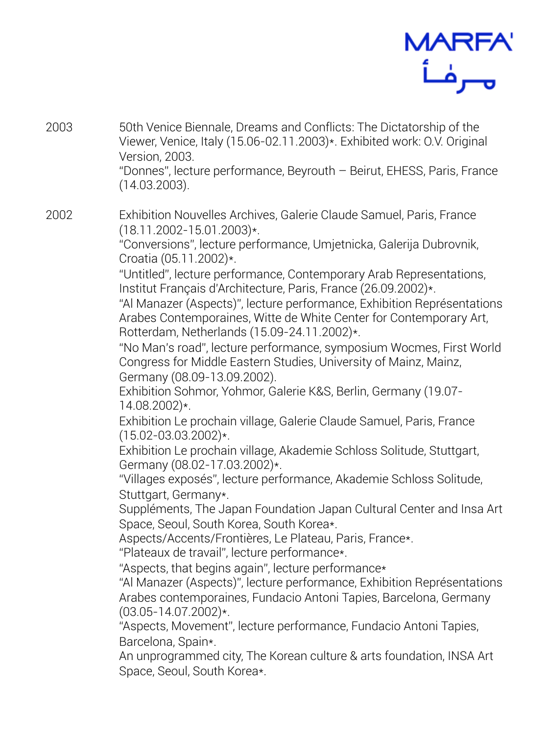

- 2003 50th Venice Biennale, Dreams and Conflicts: The Dictatorship of the Viewer, Venice, Italy (15.06-02.11.2003)\*. Exhibited work: O.V. Original Version, 2003. "Donnes", lecture performance, Beyrouth – Beirut, EHESS, Paris, France (14.03.2003).
- 2002 Exhibition Nouvelles Archives, Galerie Claude Samuel, Paris, France (18.11.2002-15.01.2003)\*.

"Conversions", lecture performance, Umjetnicka, Galerija Dubrovnik, Croatia (05.11.2002)\*.

"Untitled", lecture performance, Contemporary Arab Representations, Institut Français d'Architecture, Paris, France (26.09.2002)\*.

"Al Manazer (Aspects)", lecture performance, Exhibition Représentations Arabes Contemporaines, Witte de White Center for Contemporary Art, Rotterdam, Netherlands (15.09-24.11.2002)\*.

"No Man's road", lecture performance, symposium Wocmes, First World Congress for Middle Eastern Studies, University of Mainz, Mainz, Germany (08.09-13.09.2002).

Exhibition Sohmor, Yohmor, Galerie K&S, Berlin, Germany (19.07- 14.08.2002)\*.

Exhibition Le prochain village, Galerie Claude Samuel, Paris, France (15.02-03.03.2002)\*.

Exhibition Le prochain village, Akademie Schloss Solitude, Stuttgart, Germany (08.02-17.03.2002)\*.

"Villages exposés", lecture performance, Akademie Schloss Solitude, Stuttgart, Germany\*.

Suppléments, The Japan Foundation Japan Cultural Center and Insa Art Space, Seoul, South Korea, South Korea\*.

Aspects/Accents/Frontières, Le Plateau, Paris, France\*.

"Plateaux de travail", lecture performance\*.

"Aspects, that begins again", lecture performance\*

"Al Manazer (Aspects)", lecture performance, Exhibition Représentations Arabes contemporaines, Fundacio Antoni Tapies, Barcelona, Germany (03.05-14.07.2002)\*.

"Aspects, Movement", lecture performance, Fundacio Antoni Tapies, Barcelona, Spain\*.

An unprogrammed city, The Korean culture & arts foundation, INSA Art Space, Seoul, South Korea\*.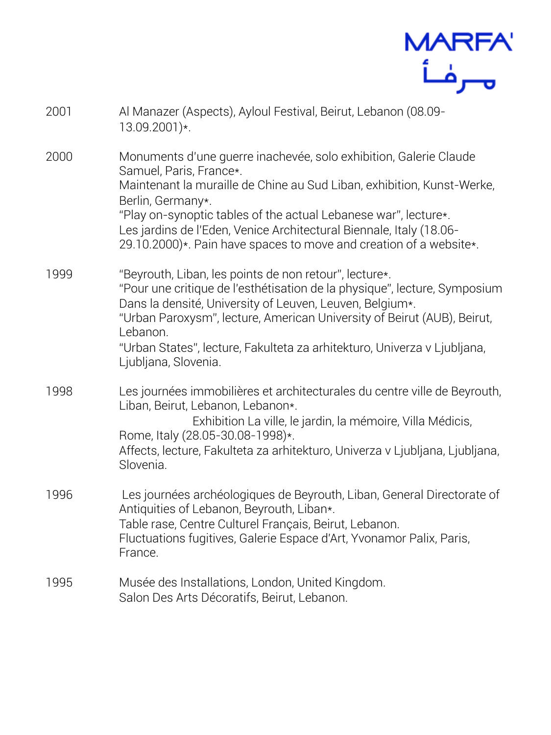

- 2001 Al Manazer (Aspects), Ayloul Festival, Beirut, Lebanon (08.09- 13.09.2001)\*.
- 2000 Monuments d'une guerre inachevée, solo exhibition, Galerie Claude Samuel, Paris, France\*. Maintenant la muraille de Chine au Sud Liban, exhibition, Kunst-Werke,

Berlin, Germany\*. "Play on-synoptic tables of the actual Lebanese war", lecture\*. Les jardins de l'Eden, Venice Architectural Biennale, Italy (18.06- 29.10.2000)\*. Pain have spaces to move and creation of a website\*.

- 1999 "Beyrouth, Liban, les points de non retour", lecture\*. "Pour une critique de l'esthétisation de la physique", lecture, Symposium Dans la densité, University of Leuven, Leuven, Belgium\*. "Urban Paroxysm", lecture, American University of Beirut (AUB), Beirut, Lebanon. "Urban States", lecture, Fakulteta za arhitekturo, Univerza v Ljubljana, Ljubljana, Slovenia.
- 1998 Les journées immobilières et architecturales du centre ville de Beyrouth, Liban, Beirut, Lebanon, Lebanon\*. Exhibition La ville, le jardin, la mémoire, Villa Médicis, Rome, Italy (28.05-30.08-1998)\*.

Affects, lecture, Fakulteta za arhitekturo, Univerza v Ljubljana, Ljubljana, Slovenia.

- 1996 Les journées archéologiques de Beyrouth, Liban, General Directorate of Antiquities of Lebanon, Beyrouth, Liban\*. Table rase, Centre Culturel Français, Beirut, Lebanon. Fluctuations fugitives, Galerie Espace d'Art, Yvonamor Palix, Paris, France.
- 1995 Musée des Installations, London, United Kingdom. Salon Des Arts Décoratifs, Beirut, Lebanon.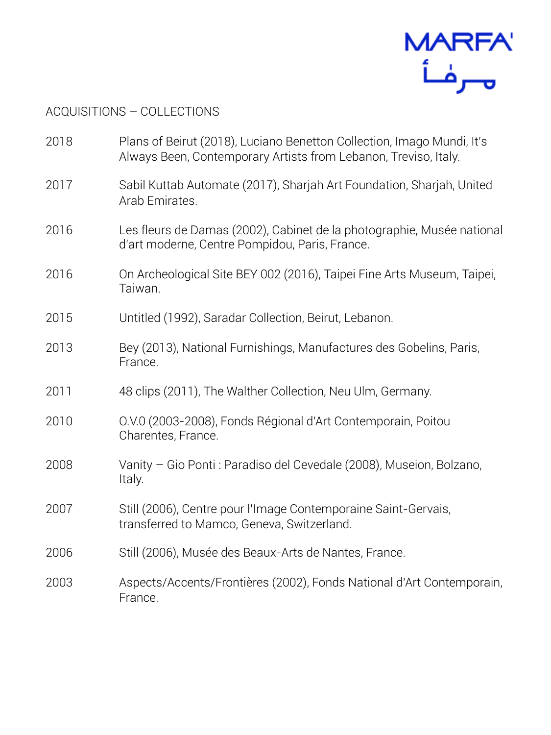

## ACQUISITIONS – COLLECTIONS

| 2018 | Plans of Beirut (2018), Luciano Benetton Collection, Imago Mundi, It's<br>Always Been, Contemporary Artists from Lebanon, Treviso, Italy. |
|------|-------------------------------------------------------------------------------------------------------------------------------------------|
| 2017 | Sabil Kuttab Automate (2017), Sharjah Art Foundation, Sharjah, United<br>Arab Emirates.                                                   |
| 2016 | Les fleurs de Damas (2002), Cabinet de la photographie, Musée national<br>d'art moderne, Centre Pompidou, Paris, France.                  |
| 2016 | On Archeological Site BEY 002 (2016), Taipei Fine Arts Museum, Taipei,<br>Taiwan.                                                         |
| 2015 | Untitled (1992), Saradar Collection, Beirut, Lebanon.                                                                                     |
| 2013 | Bey (2013), National Furnishings, Manufactures des Gobelins, Paris,<br>France.                                                            |
| 2011 | 48 clips (2011), The Walther Collection, Neu Ulm, Germany.                                                                                |
| 2010 | O.V.0 (2003-2008), Fonds Régional d'Art Contemporain, Poitou<br>Charentes, France.                                                        |
| 2008 | Vanity - Gio Ponti: Paradiso del Cevedale (2008), Museion, Bolzano,<br>Italy.                                                             |
| 2007 | Still (2006), Centre pour l'Image Contemporaine Saint-Gervais,<br>transferred to Mamco, Geneva, Switzerland.                              |
| 2006 | Still (2006), Musée des Beaux-Arts de Nantes, France.                                                                                     |
| 2003 | Aspects/Accents/Frontières (2002), Fonds National d'Art Contemporain,<br>France.                                                          |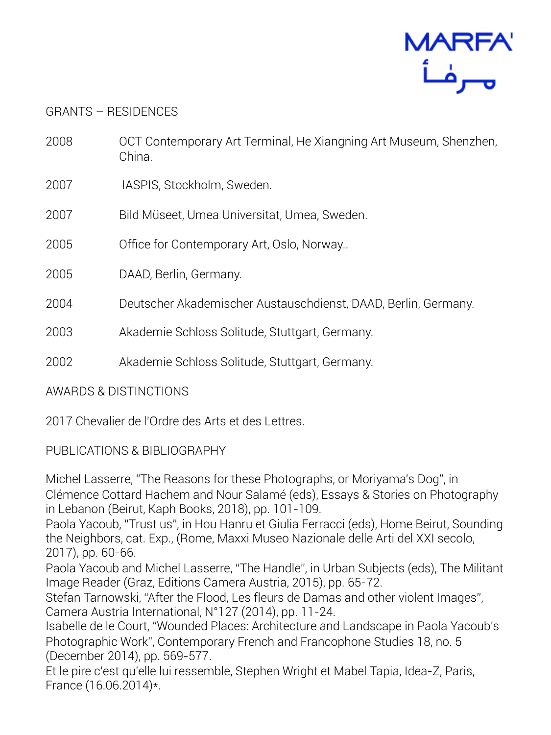

## GRANTS – RESIDENCES

- 2008 OCT Contemporary Art Terminal, He Xiangning Art Museum, Shenzhen, China.
- 2007 IASPIS, Stockholm, Sweden.
- 2007 Bild Müseet, Umea Universitat, Umea, Sweden.
- 2005 Office for Contemporary Art, Oslo, Norway..

2005 DAAD, Berlin, Germany.

- 2004 Deutscher Akademischer Austauschdienst, DAAD, Berlin, Germany.
- 2003 Akademie Schloss Solitude, Stuttgart, Germany.
- 2002 Akademie Schloss Solitude, Stuttgart, Germany.

AWARDS & DISTINCTIONS

2017 Chevalier de l'Ordre des Arts et des Lettres.

## PUBLICATIONS & BIBLIOGRAPHY

Michel Lasserre, "The Reasons for these Photographs, or Moriyama's Dog", in Clémence Cottard Hachem and Nour Salamé (eds), Essays & Stories on Photography in Lebanon (Beirut, Kaph Books, 2018), pp. 101-109.

Paola Yacoub, "Trust us", in Hou Hanru et Giulia Ferracci (eds), Home Beirut, Sounding the Neighbors, cat. Exp., (Rome, Maxxi Museo Nazionale delle Arti del XXI secolo, 2017), pp. 60-66.

Paola Yacoub and Michel Lasserre, "The Handle", in Urban Subjects (eds), The Militant Image Reader (Graz, Editions Camera Austria, 2015), pp. 65-72.

Stefan Tarnowski, "After the Flood, Les fleurs de Damas and other violent Images", Camera Austria International, N°127 (2014), pp. 11-24.

Isabelle de le Court, "Wounded Places: Architecture and Landscape in Paola Yacoub's Photographic Work", Contemporary French and Francophone Studies 18, no. 5 (December 2014), pp. 569-577.

Et le pire c'est qu'elle lui ressemble, Stephen Wright et Mabel Tapia, Idea-Z, Paris, France (16.06.2014)\*.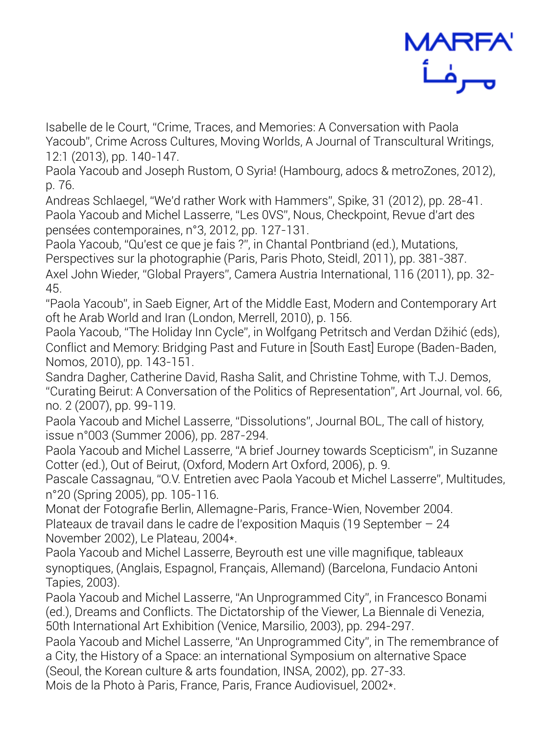

Isabelle de le Court, "Crime, Traces, and Memories: A Conversation with Paola Yacoub", Crime Across Cultures, Moving Worlds, A Journal of Transcultural Writings, 12:1 (2013), pp. 140-147.

Paola Yacoub and Joseph Rustom, O Syria! (Hambourg, adocs & metroZones, 2012), p. 76.

Andreas Schlaegel, "We'd rather Work with Hammers", Spike, 31 (2012), pp. 28-41. Paola Yacoub and Michel Lasserre, "Les 0VS", Nous, Checkpoint, Revue d'art des pensées contemporaines, n°3, 2012, pp. 127-131.

Paola Yacoub, "Qu'est ce que je fais ?", in Chantal Pontbriand (ed.), Mutations, Perspectives sur la photographie (Paris, Paris Photo, Steidl, 2011), pp. 381-387. Axel John Wieder, "Global Prayers", Camera Austria International, 116 (2011), pp. 32- 45.

"Paola Yacoub", in Saeb Eigner, Art of the Middle East, Modern and Contemporary Art oft he Arab World and Iran (London, Merrell, 2010), p. 156.

Paola Yacoub, "The Holiday Inn Cycle", in Wolfgang Petritsch and Verdan Džihić (eds), Conflict and Memory: Bridging Past and Future in [South East] Europe (Baden-Baden, Nomos, 2010), pp. 143-151.

Sandra Dagher, Catherine David, Rasha Salit, and Christine Tohme, with T.J. Demos, "Curating Beirut: A Conversation of the Politics of Representation", Art Journal, vol. 66, no. 2 (2007), pp. 99-119.

Paola Yacoub and Michel Lasserre, "Dissolutions", Journal BOL, The call of history, issue n°003 (Summer 2006), pp. 287-294.

Paola Yacoub and Michel Lasserre, "A brief Journey towards Scepticism", in Suzanne Cotter (ed.), Out of Beirut, (Oxford, Modern Art Oxford, 2006), p. 9.

Pascale Cassagnau, "O.V. Entretien avec Paola Yacoub et Michel Lasserre", Multitudes, n°20 (Spring 2005), pp. 105-116.

Monat der Fotografie Berlin, Allemagne-Paris, France-Wien, November 2004. Plateaux de travail dans le cadre de l'exposition Maquis (19 September – 24 November 2002), Le Plateau, 2004\*.

Paola Yacoub and Michel Lasserre, Beyrouth est une ville magnifique, tableaux synoptiques, (Anglais, Espagnol, Français, Allemand) (Barcelona, Fundacio Antoni Tapies, 2003).

Paola Yacoub and Michel Lasserre, "An Unprogrammed City", in Francesco Bonami (ed.), Dreams and Conflicts. The Dictatorship of the Viewer, La Biennale di Venezia, 50th International Art Exhibition (Venice, Marsilio, 2003), pp. 294-297.

Paola Yacoub and Michel Lasserre, "An Unprogrammed City", in The remembrance of a City, the History of a Space: an international Symposium on alternative Space (Seoul, the Korean culture & arts foundation, INSA, 2002), pp. 27-33.

Mois de la Photo à Paris, France, Paris, France Audiovisuel, 2002\*.